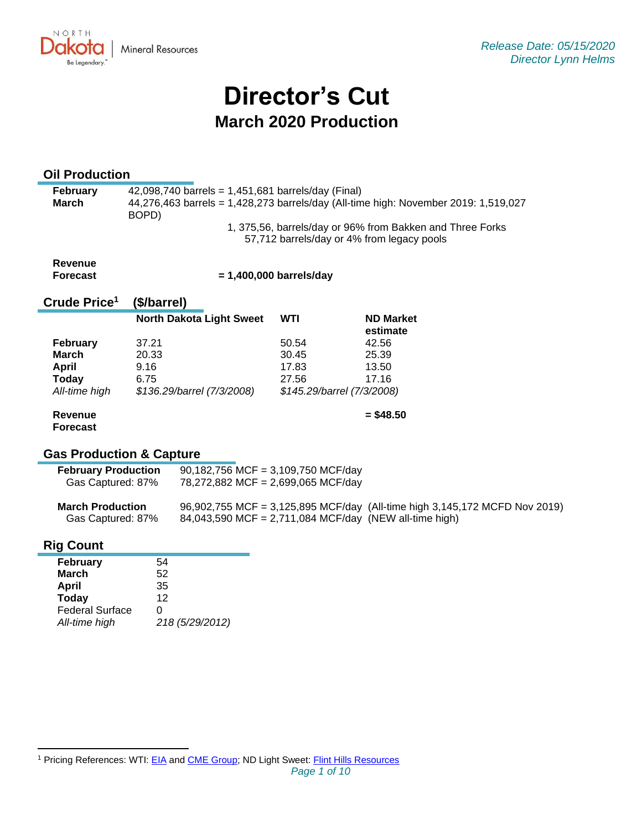NORTH **Mineral Resources** Be Legendary

# **Director's Cut March 2020 Production**

# **Oil Production**

| <b>February</b> | 42,098,740 barrels = 1,451,681 barrels/day (Final)                                  |
|-----------------|-------------------------------------------------------------------------------------|
| March           | 44,276,463 barrels = 1,428,273 barrels/day (All-time high: November 2019: 1,519,027 |
|                 | BOPD)                                                                               |
|                 | 1, 375,56, barrels/day or 96% from Bakken and Three Forks                           |
|                 | 57,712 barrels/day or 4% from legacy pools                                          |

| Revenue  |  |
|----------|--|
| Forecast |  |

 **= 1,400,000 barrels/day**

#### **Crude Price 1 (\$/barrel)**

|                 | <b>North Dakota Light Sweet</b> | WTI   | <b>ND Market</b><br>estimate |
|-----------------|---------------------------------|-------|------------------------------|
| <b>February</b> | 37.21                           | 50.54 | 42.56                        |
| <b>March</b>    | 20.33                           | 30.45 | 25.39                        |
| April           | 9.16                            | 17.83 | 13.50                        |
| <b>Today</b>    | 6.75                            | 27.56 | 17.16                        |
| All-time high   | \$136.29/barrel (7/3/2008)      |       | \$145.29/barrel (7/3/2008)   |

#### **Revenue Forecast**

**= \$48.50**

# **Gas Production & Capture**

| <b>February Production</b><br>Gas Captured: 87% | 90,182,756 MCF = 3,109,750 MCF/day<br>78,272,882 MCF = 2,699,065 MCF/day                                                             |  |
|-------------------------------------------------|--------------------------------------------------------------------------------------------------------------------------------------|--|
| <b>March Production</b><br>Gas Captured: 87%    | 96,902,755 MCF = 3,125,895 MCF/day (All-time high 3,145,172 MCFD Nov 2019)<br>84,043,590 MCF = 2,711,084 MCF/day (NEW all-time high) |  |

# **Rig Count**

| <b>February</b>        | 54              |
|------------------------|-----------------|
| <b>March</b>           | 52              |
| April                  | 35              |
| <b>Today</b>           | 12              |
| <b>Federal Surface</b> | U               |
| All-time high          | 218 (5/29/2012) |

<sup>&</sup>lt;sup>1</sup> Pricing References: WTI: [EIA](https://www.eia.gov/dnav/pet/hist/LeafHandler.ashx?n=PET&s=RCLC1&f=M) and [CME Group;](https://www.cmegroup.com/trading/energy/crude-oil/light-sweet-crude.html) ND Light Sweet: [Flint Hills Resources](https://www.fhr.com/products-services/fuels-and-aromatics)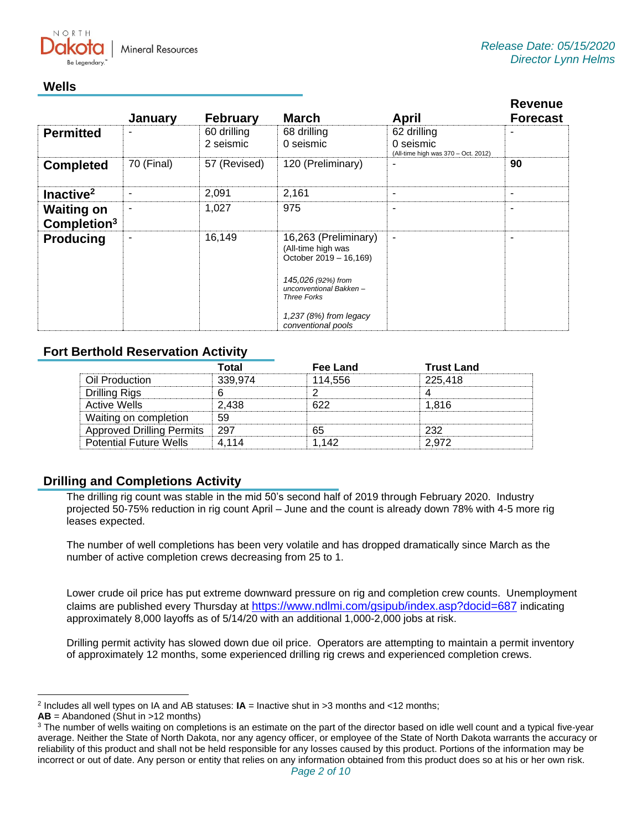

# **Wells**

|                                              | January                  | <b>February</b>          | <b>March</b>                                                                                                                                                                                | April                                                           | <b>Revenue</b><br><b>Forecast</b> |
|----------------------------------------------|--------------------------|--------------------------|---------------------------------------------------------------------------------------------------------------------------------------------------------------------------------------------|-----------------------------------------------------------------|-----------------------------------|
| <b>Permitted</b>                             | ۰                        | 60 drilling<br>2 seismic | 68 drilling<br>0 seismic                                                                                                                                                                    | 62 drilling<br>0 seismic<br>(All-time high was 370 - Oct. 2012) |                                   |
| <b>Completed</b>                             | 70 (Final)               | 57 (Revised)             | 120 (Preliminary)                                                                                                                                                                           |                                                                 | 90                                |
| Inactive <sup>2</sup>                        | $\overline{\phantom{0}}$ | 2,091                    | 2,161                                                                                                                                                                                       | ٠                                                               | ٠                                 |
| <b>Waiting on</b><br>Completion <sup>3</sup> | ۰                        | 1,027                    | 975                                                                                                                                                                                         | ۰                                                               |                                   |
| <b>Producing</b>                             | ٠                        | 16,149                   | 16,263 (Preliminary)<br>(All-time high was<br>October 2019 - 16,169)<br>145,026 (92%) from<br>unconventional Bakken-<br><b>Three Forks</b><br>$1,237(8%)$ from legacy<br>conventional pools | ٠                                                               |                                   |

# **Fort Berthold Reservation Activity**

|                                  | Гоtal   | Fee Land | <b>Trust Land</b> |
|----------------------------------|---------|----------|-------------------|
| Oil Production                   | 339.974 | 114.556  | 225.418           |
| Drilling Rigs                    |         |          |                   |
| Active Wells                     | 2.438   | ドクク      | 1.816             |
| Waiting on completion            |         |          |                   |
| <b>Approved Drilling Permits</b> | ∣ 297   | 65       | つつつ               |
| <b>Potential Future Wells</b>    | 4 114   | 1 142    | 2.972             |

# **Drilling and Completions Activity**

The drilling rig count was stable in the mid 50's second half of 2019 through February 2020. Industry projected 50-75% reduction in rig count April – June and the count is already down 78% with 4-5 more rig leases expected.

The number of well completions has been very volatile and has dropped dramatically since March as the number of active completion crews decreasing from 25 to 1.

Lower crude oil price has put extreme downward pressure on rig and completion crew counts. Unemployment claims are published every Thursday at <https://www.ndlmi.com/gsipub/index.asp?docid=687> indicating approximately 8,000 layoffs as of 5/14/20 with an additional 1,000-2,000 jobs at risk.

Drilling permit activity has slowed down due oil price. Operators are attempting to maintain a permit inventory of approximately 12 months, some experienced drilling rig crews and experienced completion crews.

2 Includes all well types on IA and AB statuses: **IA** = Inactive shut in >3 months and <12 months;

**AB** = Abandoned (Shut in >12 months)

<sup>&</sup>lt;sup>3</sup> The number of wells waiting on completions is an estimate on the part of the director based on idle well count and a typical five-year average. Neither the State of North Dakota, nor any agency officer, or employee of the State of North Dakota warrants the accuracy or reliability of this product and shall not be held responsible for any losses caused by this product. Portions of the information may be incorrect or out of date. Any person or entity that relies on any information obtained from this product does so at his or her own risk.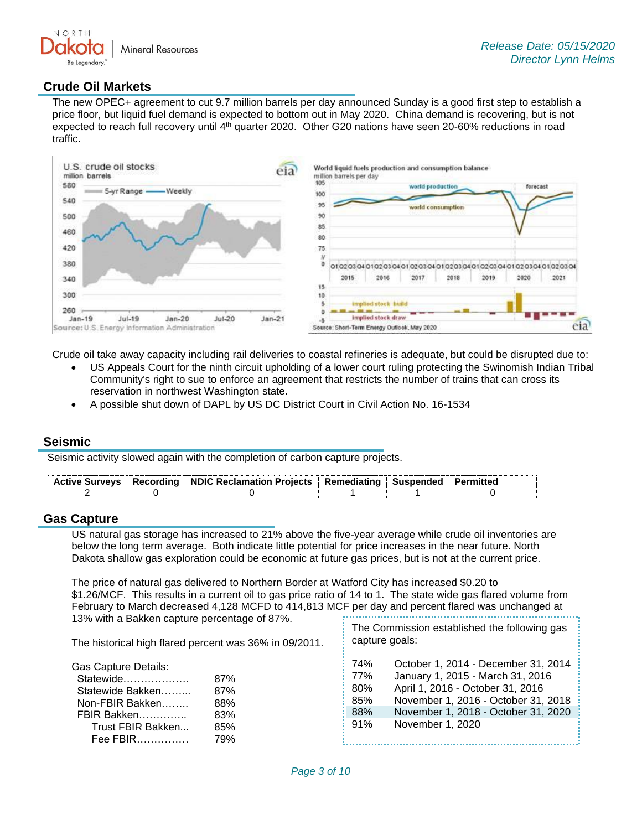

# **Crude Oil Markets**

The new OPEC+ agreement to cut 9.7 million barrels per day announced Sunday is a good first step to establish a price floor, but liquid fuel demand is expected to bottom out in May 2020. China demand is recovering, but is not expected to reach full recovery until 4th quarter 2020. Other G20 nations have seen 20-60% reductions in road traffic.



Crude oil take away capacity including rail deliveries to coastal refineries is adequate, but could be disrupted due to:

- US Appeals Court for the ninth circuit upholding of a lower court ruling protecting the Swinomish Indian Tribal Community's right to sue to enforce an agreement that restricts the number of trains that can cross its reservation in northwest Washington state.
- A possible shut down of DAPL by US DC District Court in Civil Action No. 16-1534

#### **Seismic**

Seismic activity slowed again with the completion of carbon capture projects.

| <b>Active Surveys</b> | Recordina | ■ NDIC Reclamation Proiects DRemediating | ∴ Suspended |  |
|-----------------------|-----------|------------------------------------------|-------------|--|
|                       |           |                                          |             |  |

#### **Gas Capture**

US natural gas storage has increased to 21% above the five-year average while crude oil inventories are below the long term average. Both indicate little potential for price increases in the near future. North Dakota shallow gas exploration could be economic at future gas prices, but is not at the current price.

The price of natural gas delivered to Northern Border at Watford City has increased \$0.20 to \$1.26/MCF. This results in a current oil to gas price ratio of 14 to 1. The state wide gas flared volume from February to March decreased 4,128 MCFD to 414,813 MCF per day and percent flared was unchanged at 13% with a Bakken capture percentage of 87%.

The historical high flared percent was 36% in 09/2011.

Gas Capture Details:

| Statewide         | 87% |
|-------------------|-----|
| Statewide Bakken  | 87% |
| Non-FBIR Bakken   | 88% |
| FBIR Bakken       | 83% |
| Trust FBIR Bakken | 85% |
| Fee FBIR          | 79% |

| The Commission established the following gas |  |
|----------------------------------------------|--|
| capture goals:                               |  |

| 74% | October 1, 2014 - December 31, 2014 |
|-----|-------------------------------------|
| 77% | January 1, 2015 - March 31, 2016    |
| 80% | April 1, 2016 - October 31, 2016    |
| 85% | November 1, 2016 - October 31, 2018 |
| 88% | November 1, 2018 - October 31, 2020 |
| 91% | November 1, 2020                    |
|     |                                     |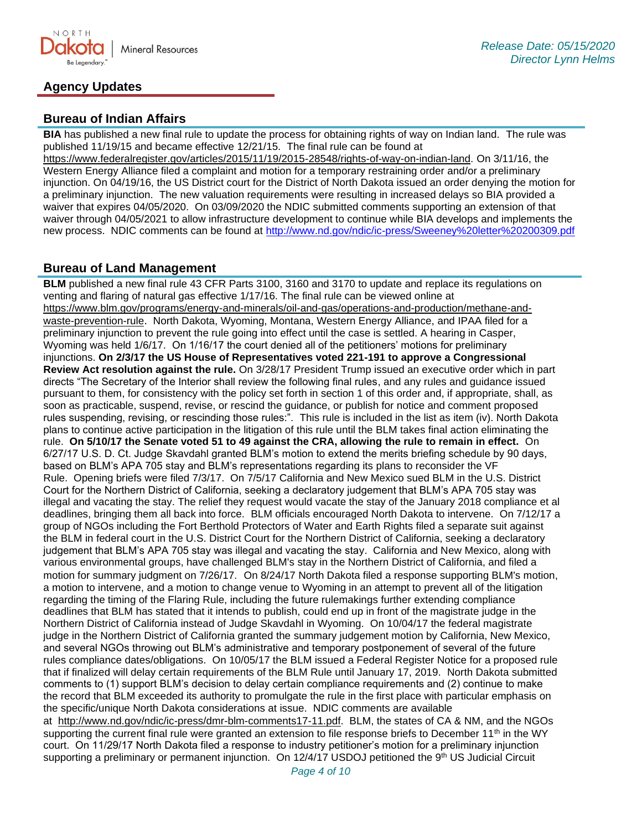

# **Agency Updates**

# **Bureau of Indian Affairs**

**BIA** has published a new final rule to update the process for obtaining rights of way on Indian land. The rule was published 11/19/15 and became effective 12/21/15. The final rule can be found at

[https://www.federalregister.gov/articles/2015/11/19/2015-28548/rights-of-way-on-indian-land.](https://www.federalregister.gov/articles/2015/11/19/2015-28548/rights-of-way-on-indian-land) On 3/11/16, the Western Energy Alliance filed a complaint and motion for a temporary restraining order and/or a preliminary injunction. On 04/19/16, the US District court for the District of North Dakota issued an order denying the motion for a preliminary injunction. The new valuation requirements were resulting in increased delays so BIA provided a waiver that expires 04/05/2020. On 03/09/2020 the NDIC submitted comments supporting an extension of that waiver through 04/05/2021 to allow infrastructure development to continue while BIA develops and implements the new process. NDIC comments can be found at<http://www.nd.gov/ndic/ic-press/Sweeney%20letter%20200309.pdf>

### **Bureau of Land Management**

**BLM** published a new final rule 43 CFR Parts 3100, 3160 and 3170 to update and replace its regulations on venting and flaring of natural gas effective 1/17/16. The final rule can be viewed online at [https://www.blm.gov/programs/energy-and-minerals/oil-and-gas/operations-and-production/methane-and](https://www.blm.gov/programs/energy-and-minerals/oil-and-gas/operations-and-production/methane-and-waste-prevention-rule)[waste-prevention-rule](https://www.blm.gov/programs/energy-and-minerals/oil-and-gas/operations-and-production/methane-and-waste-prevention-rule). North Dakota, Wyoming, Montana, Western Energy Alliance, and IPAA filed for a preliminary injunction to prevent the rule going into effect until the case is settled. A hearing in Casper, Wyoming was held 1/6/17. On 1/16/17 the court denied all of the petitioners' motions for preliminary injunctions. **On 2/3/17 the US House of Representatives voted 221-191 to approve a Congressional Review Act resolution against the rule.** On 3/28/17 President Trump issued an executive order which in part directs "The Secretary of the Interior shall review the following final rules, and any rules and guidance issued pursuant to them, for consistency with the policy set forth in section 1 of this order and, if appropriate, shall, as soon as practicable, suspend, revise, or rescind the guidance, or publish for notice and comment proposed rules suspending, revising, or rescinding those rules:". This rule is included in the list as item (iv). North Dakota plans to continue active participation in the litigation of this rule until the BLM takes final action eliminating the rule. **On 5/10/17 the Senate voted 51 to 49 against the CRA, allowing the rule to remain in effect.** On 6/27/17 U.S. D. Ct. Judge Skavdahl granted BLM's motion to extend the merits briefing schedule by 90 days, based on BLM's APA 705 stay and BLM's representations regarding its plans to reconsider the VF Rule. Opening briefs were filed 7/3/17. On 7/5/17 California and New Mexico sued BLM in the U.S. District Court for the Northern District of California, seeking a declaratory judgement that BLM's APA 705 stay was illegal and vacating the stay. The relief they request would vacate the stay of the January 2018 compliance et al deadlines, bringing them all back into force. BLM officials encouraged North Dakota to intervene. On 7/12/17 a group of NGOs including the Fort Berthold Protectors of Water and Earth Rights filed a separate suit against the BLM in federal court in the U.S. District Court for the Northern District of California, seeking a declaratory judgement that BLM's APA 705 stay was illegal and vacating the stay. California and New Mexico, along with various environmental groups, have challenged BLM's stay in the Northern District of California, and filed a motion for summary judgment on 7/26/17. On 8/24/17 North Dakota filed a response supporting BLM's motion, a motion to intervene, and a motion to change venue to Wyoming in an attempt to prevent all of the litigation regarding the timing of the Flaring Rule, including the future rulemakings further extending compliance deadlines that BLM has stated that it intends to publish, could end up in front of the magistrate judge in the Northern District of California instead of Judge Skavdahl in Wyoming. On 10/04/17 the federal magistrate judge in the Northern District of California granted the summary judgement motion by California, New Mexico, and several NGOs throwing out BLM's administrative and temporary postponement of several of the future rules compliance dates/obligations. On 10/05/17 the BLM issued a Federal Register Notice for a proposed rule that if finalized will delay certain requirements of the BLM Rule until January 17, 2019. North Dakota submitted comments to (1) support BLM's decision to delay certain compliance requirements and (2) continue to make the record that BLM exceeded its authority to promulgate the rule in the first place with particular emphasis on the specific/unique North Dakota considerations at issue. NDIC comments are available at [http://www.nd.gov/ndic/ic-press/dmr-blm-comments17-11.pdf.](http://www.nd.gov/ndic/ic-press/dmr-blm-comments17-11.pdf) BLM, the states of CA & NM, and the NGOs supporting the current final rule were granted an extension to file response briefs to December 11<sup>th</sup> in the WY court. On 11/29/17 North Dakota filed a response to industry petitioner's motion for a preliminary injunction supporting a preliminary or permanent injunction. On 12/4/17 USDOJ petitioned the 9<sup>th</sup> US Judicial Circuit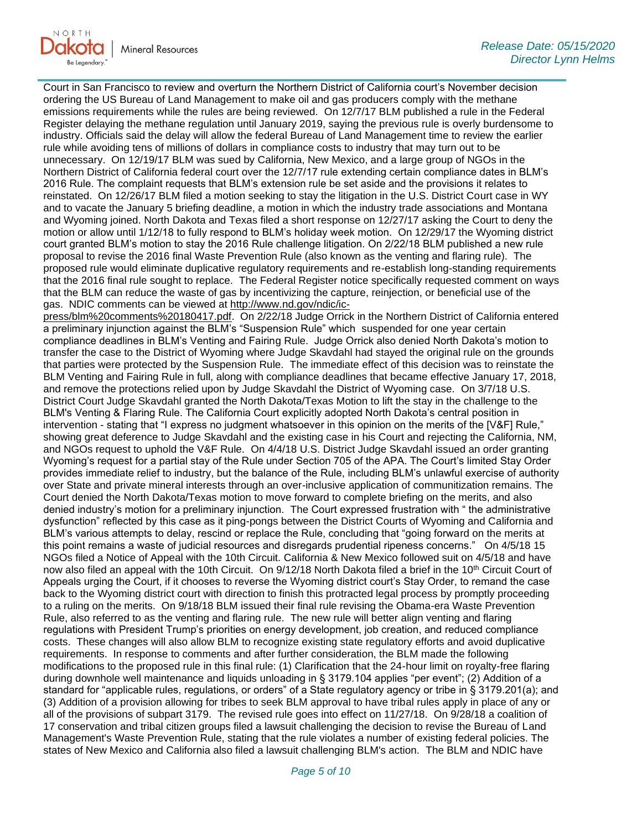NORTH **Mineral Resources** 

Court in San Francisco to review and overturn the Northern District of California court's November decision ordering the US Bureau of Land Management to make oil and gas producers comply with the methane emissions requirements while the rules are being reviewed. On 12/7/17 BLM published a rule in the Federal Register delaying the methane regulation until January 2019, saying the previous rule is overly burdensome to industry. Officials said the delay will allow the federal Bureau of Land Management time to review the earlier rule while avoiding tens of millions of dollars in compliance costs to industry that may turn out to be unnecessary. On 12/19/17 BLM was sued by California, New Mexico, and a large group of NGOs in the Northern District of California federal court over the 12/7/17 rule extending certain compliance dates in BLM's 2016 Rule. The complaint requests that BLM's extension rule be set aside and the provisions it relates to reinstated. On 12/26/17 BLM filed a motion seeking to stay the litigation in the U.S. District Court case in WY and to vacate the January 5 briefing deadline, a motion in which the industry trade associations and Montana and Wyoming joined. North Dakota and Texas filed a short response on 12/27/17 asking the Court to deny the motion or allow until 1/12/18 to fully respond to BLM's holiday week motion. On 12/29/17 the Wyoming district court granted BLM's motion to stay the 2016 Rule challenge litigation. On 2/22/18 BLM published a new rule proposal to revise the 2016 final Waste Prevention Rule (also known as the venting and flaring rule). The proposed rule would eliminate duplicative regulatory requirements and re-establish long-standing requirements that the 2016 final rule sought to replace. The Federal Register notice specifically requested comment on ways that the BLM can reduce the waste of gas by incentivizing the capture, reinjection, or beneficial use of the gas. NDIC comments can be viewed at [http://www.nd.gov/ndic/ic-](http://www.nd.gov/ndic/ic-press/blm%20comments%20180417.pdf)

[press/blm%20comments%20180417.pdf.](http://www.nd.gov/ndic/ic-press/blm%20comments%20180417.pdf) On 2/22/18 Judge Orrick in the Northern District of California entered a preliminary injunction against the BLM's "Suspension Rule" which suspended for one year certain compliance deadlines in BLM's Venting and Fairing Rule. Judge Orrick also denied North Dakota's motion to transfer the case to the District of Wyoming where Judge Skavdahl had stayed the original rule on the grounds that parties were protected by the Suspension Rule. The immediate effect of this decision was to reinstate the BLM Venting and Fairing Rule in full, along with compliance deadlines that became effective January 17, 2018, and remove the protections relied upon by Judge Skavdahl the District of Wyoming case. On 3/7/18 U.S. District Court Judge Skavdahl granted the North Dakota/Texas Motion to lift the stay in the challenge to the BLM's Venting & Flaring Rule. The California Court explicitly adopted North Dakota's central position in intervention - stating that "I express no judgment whatsoever in this opinion on the merits of the [V&F] Rule," showing great deference to Judge Skavdahl and the existing case in his Court and rejecting the California, NM, and NGOs request to uphold the V&F Rule. On 4/4/18 U.S. District Judge Skavdahl issued an order granting Wyoming's request for a partial stay of the Rule under Section 705 of the APA. The Court's limited Stay Order provides immediate relief to industry, but the balance of the Rule, including BLM's unlawful exercise of authority over State and private mineral interests through an over-inclusive application of communitization remains. The Court denied the North Dakota/Texas motion to move forward to complete briefing on the merits, and also denied industry's motion for a preliminary injunction. The Court expressed frustration with " the administrative dysfunction" reflected by this case as it ping-pongs between the District Courts of Wyoming and California and BLM's various attempts to delay, rescind or replace the Rule, concluding that "going forward on the merits at this point remains a waste of judicial resources and disregards prudential ripeness concerns." On 4/5/18 15 NGOs filed a Notice of Appeal with the 10th Circuit. California & New Mexico followed suit on 4/5/18 and have now also filed an appeal with the 10th Circuit. On 9/12/18 North Dakota filed a brief in the 10<sup>th</sup> Circuit Court of Appeals urging the Court, if it chooses to reverse the Wyoming district court's Stay Order, to remand the case back to the Wyoming district court with direction to finish this protracted legal process by promptly proceeding to a ruling on the merits. On 9/18/18 BLM issued their final rule revising the Obama-era Waste Prevention Rule, also referred to as the venting and flaring rule. The new rule will better align venting and flaring regulations with President Trump's priorities on energy development, job creation, and reduced compliance costs. These changes will also allow BLM to recognize existing state regulatory efforts and avoid duplicative requirements. In response to comments and after further consideration, the BLM made the following modifications to the proposed rule in this final rule: (1) Clarification that the 24-hour limit on royalty-free flaring during downhole well maintenance and liquids unloading in § 3179.104 applies "per event"; (2) Addition of a standard for "applicable rules, regulations, or orders" of a State regulatory agency or tribe in § 3179.201(a); and (3) Addition of a provision allowing for tribes to seek BLM approval to have tribal rules apply in place of any or all of the provisions of subpart 3179. The revised rule goes into effect on 11/27/18. On 9/28/18 a coalition of 17 conservation and tribal citizen groups filed a lawsuit challenging the decision to revise the Bureau of Land Management's Waste Prevention Rule, stating that the rule violates a number of existing federal policies. The states of New Mexico and California also filed a lawsuit challenging BLM's action. The BLM and NDIC have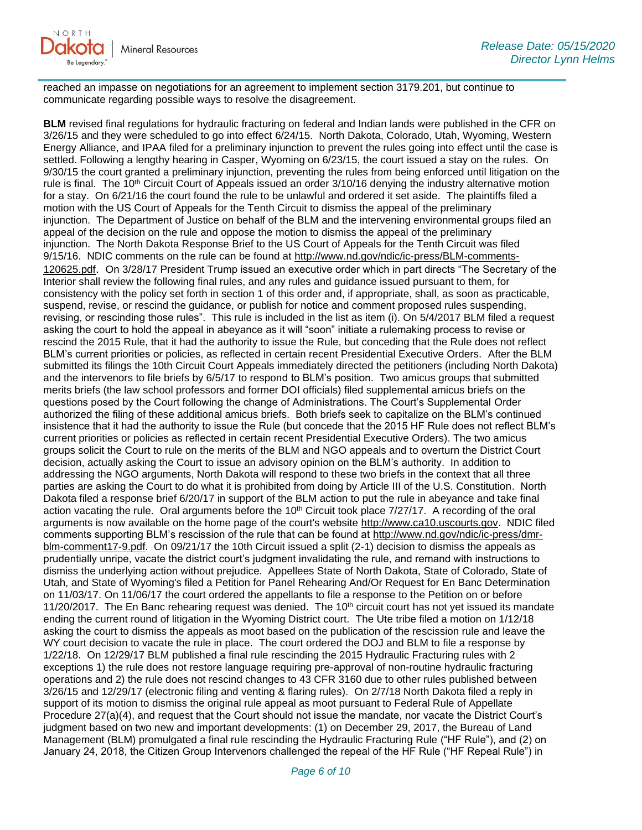reached an impasse on negotiations for an agreement to implement section 3179.201, but continue to communicate regarding possible ways to resolve the disagreement.

**BLM** revised final regulations for hydraulic fracturing on federal and Indian lands were published in the CFR on 3/26/15 and they were scheduled to go into effect 6/24/15. North Dakota, Colorado, Utah, Wyoming, Western Energy Alliance, and IPAA filed for a preliminary injunction to prevent the rules going into effect until the case is settled. Following a lengthy hearing in Casper, Wyoming on 6/23/15, the court issued a stay on the rules. On 9/30/15 the court granted a preliminary injunction, preventing the rules from being enforced until litigation on the rule is final. The 10<sup>th</sup> Circuit Court of Appeals issued an order 3/10/16 denying the industry alternative motion for a stay. On 6/21/16 the court found the rule to be unlawful and ordered it set aside. The plaintiffs filed a motion with the US Court of Appeals for the Tenth Circuit to dismiss the appeal of the preliminary injunction. The Department of Justice on behalf of the BLM and the intervening environmental groups filed an appeal of the decision on the rule and oppose the motion to dismiss the appeal of the preliminary injunction. The North Dakota Response Brief to the US Court of Appeals for the Tenth Circuit was filed 9/15/16. NDIC comments on the rule can be found at [http://www.nd.gov/ndic/ic-press/BLM-comments-](http://www.nd.gov/ndic/ic-press/BLM-comments-120625.pdf)[120625.pdf](http://www.nd.gov/ndic/ic-press/BLM-comments-120625.pdf). On 3/28/17 President Trump issued an executive order which in part directs "The Secretary of the Interior shall review the following final rules, and any rules and guidance issued pursuant to them, for consistency with the policy set forth in section 1 of this order and, if appropriate, shall, as soon as practicable, suspend, revise, or rescind the guidance, or publish for notice and comment proposed rules suspending, revising, or rescinding those rules". This rule is included in the list as item (i). On 5/4/2017 BLM filed a request asking the court to hold the appeal in abeyance as it will "soon" initiate a rulemaking process to revise or rescind the 2015 Rule, that it had the authority to issue the Rule, but conceding that the Rule does not reflect BLM's current priorities or policies, as reflected in certain recent Presidential Executive Orders. After the BLM submitted its filings the 10th Circuit Court Appeals immediately directed the petitioners (including North Dakota) and the intervenors to file briefs by 6/5/17 to respond to BLM's position. Two amicus groups that submitted merits briefs (the law school professors and former DOI officials) filed supplemental amicus briefs on the questions posed by the Court following the change of Administrations. The Court's Supplemental Order authorized the filing of these additional amicus briefs. Both briefs seek to capitalize on the BLM's continued insistence that it had the authority to issue the Rule (but concede that the 2015 HF Rule does not reflect BLM's current priorities or policies as reflected in certain recent Presidential Executive Orders). The two amicus groups solicit the Court to rule on the merits of the BLM and NGO appeals and to overturn the District Court decision, actually asking the Court to issue an advisory opinion on the BLM's authority. In addition to addressing the NGO arguments, North Dakota will respond to these two briefs in the context that all three parties are asking the Court to do what it is prohibited from doing by Article III of the U.S. Constitution. North Dakota filed a response brief 6/20/17 in support of the BLM action to put the rule in abeyance and take final action vacating the rule. Oral arguments before the 10<sup>th</sup> Circuit took place 7/27/17. A recording of the oral arguments is now available on the home page of the court's website [http://www.ca10.uscourts.gov.](https://urldefense.proofpoint.com/v2/url?u=http-3A__www.ca10.uscourts.gov&d=DwMGaQ&c=2s2mvbfY0UoSKkl6_Ol9wg&r=-wqsZnBxny594KY8HeElow&m=Ul_VtJUX6iW5pvHjCcBxUWtskC0F4Dhry3sPtcEHvCw&s=laRHiLDv5w8otcQWQjpn82WMieoB2AZ-Q4M1LFQPL5s&e=) NDIC filed comments supporting BLM's rescission of the rule that can be found at [http://www.nd.gov/ndic/ic-press/dmr](http://www.nd.gov/ndic/ic-press/dmr-blm-comment17-9.pdf)[blm-comment17-9.pdf.](http://www.nd.gov/ndic/ic-press/dmr-blm-comment17-9.pdf) On 09/21/17 the 10th Circuit issued a split (2-1) decision to dismiss the appeals as prudentially unripe, vacate the district court's judgment invalidating the rule, and remand with instructions to dismiss the underlying action without prejudice. Appellees State of North Dakota, State of Colorado, State of Utah, and State of Wyoming's filed a Petition for Panel Rehearing And/Or Request for En Banc Determination on 11/03/17. On 11/06/17 the court ordered the appellants to file a response to the Petition on or before 11/20/2017. The En Banc rehearing request was denied. The  $10<sup>th</sup>$  circuit court has not yet issued its mandate ending the current round of litigation in the Wyoming District court. The Ute tribe filed a motion on 1/12/18 asking the court to dismiss the appeals as moot based on the publication of the rescission rule and leave the WY court decision to vacate the rule in place. The court ordered the DOJ and BLM to file a response by 1/22/18. On 12/29/17 BLM published a final rule rescinding the 2015 Hydraulic Fracturing rules with 2 exceptions 1) the rule does not restore language requiring pre-approval of non-routine hydraulic fracturing operations and 2) the rule does not rescind changes to 43 CFR 3160 due to other rules published between 3/26/15 and 12/29/17 (electronic filing and venting & flaring rules). On 2/7/18 North Dakota filed a reply in support of its motion to dismiss the original rule appeal as moot pursuant to Federal Rule of Appellate Procedure 27(a)(4), and request that the Court should not issue the mandate, nor vacate the District Court's judgment based on two new and important developments: (1) on December 29, 2017, the Bureau of Land Management (BLM) promulgated a final rule rescinding the Hydraulic Fracturing Rule ("HF Rule"), and (2) on January 24, 2018, the Citizen Group Intervenors challenged the repeal of the HF Rule ("HF Repeal Rule") in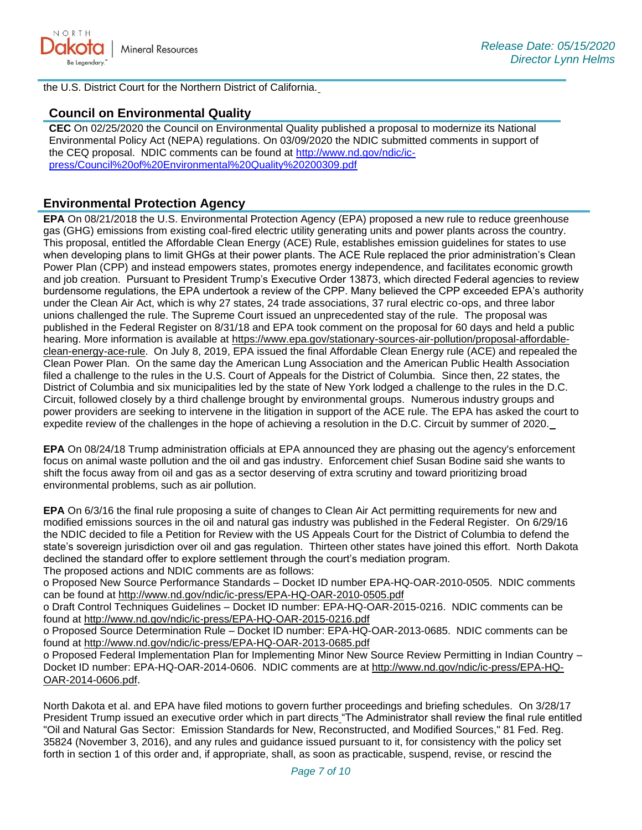

the U.S. District Court for the Northern District of California.

# **Council on Environmental Quality**

**CEC** On 02/25/2020 the Council on Environmental Quality published a proposal to modernize its National Environmental Policy Act (NEPA) regulations. On 03/09/2020 the NDIC submitted comments in support of the CEQ proposal. NDIC comments can be found at [http://www.nd.gov/ndic/ic](http://www.nd.gov/ndic/ic-press/Council%20of%20Environmental%20Quality%20200309.pdf)[press/Council%20of%20Environmental%20Quality%20200309.pdf](http://www.nd.gov/ndic/ic-press/Council%20of%20Environmental%20Quality%20200309.pdf)

# **Environmental Protection Agency**

**EPA** On 08/21/2018 the U.S. Environmental Protection Agency (EPA) proposed a new rule to reduce greenhouse gas (GHG) emissions from existing coal-fired electric utility generating units and power plants across the country. This proposal, entitled the Affordable Clean Energy (ACE) Rule, establishes emission guidelines for states to use when developing plans to limit GHGs at their power plants. The ACE Rule replaced the prior administration's Clean Power Plan (CPP) and instead empowers states, promotes energy independence, and facilitates economic growth and job creation. Pursuant to President Trump's Executive Order 13873, which directed Federal agencies to review burdensome regulations, the EPA undertook a review of the CPP. Many believed the CPP exceeded EPA's authority under the Clean Air Act, which is why 27 states, 24 trade associations, 37 rural electric co-ops, and three labor unions challenged the rule. The Supreme Court issued an unprecedented stay of the rule. The proposal was published in the Federal Register on 8/31/18 and EPA took comment on the proposal for 60 days and held a public hearing. More information is available at [https://www.epa.gov/stationary-sources-air-pollution/proposal-affordable](https://www.epa.gov/stationary-sources-air-pollution/proposal-affordable-clean-energy-ace-rule)[clean-energy-ace-rule.](https://www.epa.gov/stationary-sources-air-pollution/proposal-affordable-clean-energy-ace-rule) On July 8, 2019, EPA issued the final Affordable Clean Energy rule (ACE) and repealed the Clean Power Plan. On the same day the American Lung Association and the American Public Health Association filed a challenge to the rules in the U.S. Court of Appeals for the District of Columbia. Since then, 22 states, the District of Columbia and six municipalities led by the state of New York lodged a challenge to the rules in the D.C. Circuit, followed closely by a third challenge brought by environmental groups. Numerous industry groups and power providers are seeking to intervene in the litigation in support of the ACE rule. The EPA has asked the court to expedite review of the challenges in the hope of achieving a resolution in the D.C. Circuit by summer of 2020.

**EPA** On 08/24/18 Trump administration officials at EPA announced they are phasing out the agency's enforcement focus on animal waste pollution and the oil and gas industry. Enforcement chief Susan Bodine said she wants to shift the focus away from oil and gas as a sector deserving of extra scrutiny and toward prioritizing broad environmental problems, such as air pollution.

**EPA** On 6/3/16 the final rule proposing a suite of changes to Clean Air Act permitting requirements for new and modified emissions sources in the oil and natural gas industry was published in the Federal Register. On 6/29/16 the NDIC decided to file a Petition for Review with the US Appeals Court for the District of Columbia to defend the state's sovereign jurisdiction over oil and gas regulation. Thirteen other states have joined this effort. North Dakota declined the standard offer to explore settlement through the court's mediation program.

The proposed actions and NDIC comments are as follows:

o Proposed New Source Performance Standards – Docket ID number EPA-HQ-OAR-2010-0505. NDIC comments can be found at<http://www.nd.gov/ndic/ic-press/EPA-HQ-OAR-2010-0505.pdf>

o Draft Control Techniques Guidelines – Docket ID number: EPA-HQ-OAR-2015-0216. NDIC comments can be found at<http://www.nd.gov/ndic/ic-press/EPA-HQ-OAR-2015-0216.pdf>

o Proposed Source Determination Rule – Docket ID number: EPA-HQ-OAR-2013-0685. NDIC comments can be found at<http://www.nd.gov/ndic/ic-press/EPA-HQ-OAR-2013-0685.pdf>

o Proposed Federal Implementation Plan for Implementing Minor New Source Review Permitting in Indian Country – Docket ID number: EPA-HQ-OAR-2014-0606. NDIC comments are at [http://www.nd.gov/ndic/ic-press/EPA-HQ-](http://www.nd.gov/ndic/ic-press/EPA-HQ-OAR-2014-0606.pdf)[OAR-2014-0606.pdf](http://www.nd.gov/ndic/ic-press/EPA-HQ-OAR-2014-0606.pdf).

North Dakota et al. and EPA have filed motions to govern further proceedings and briefing schedules. On 3/28/17 President Trump issued an executive order which in part directs "The Administrator shall review the final rule entitled "Oil and Natural Gas Sector: Emission Standards for New, Reconstructed, and Modified Sources," 81 Fed. Reg. 35824 (November 3, 2016), and any rules and guidance issued pursuant to it, for consistency with the policy set forth in section 1 of this order and, if appropriate, shall, as soon as practicable, suspend, revise, or rescind the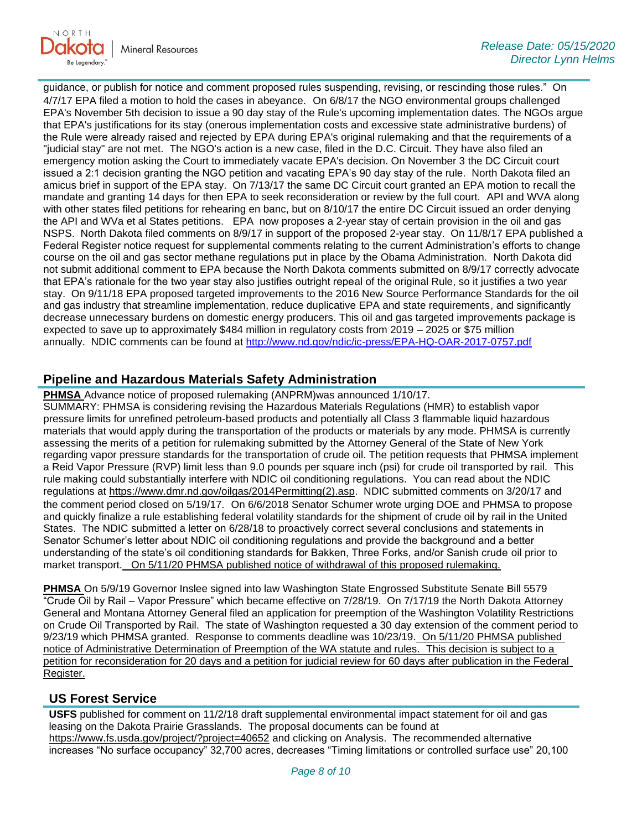

guidance, or publish for notice and comment proposed rules suspending, revising, or rescinding those rules." On 4/7/17 EPA filed a motion to hold the cases in abeyance. On 6/8/17 the NGO environmental groups challenged EPA's November 5th decision to issue a 90 day stay of the Rule's upcoming implementation dates. The NGOs argue that EPA's justifications for its stay (onerous implementation costs and excessive state administrative burdens) of the Rule were already raised and rejected by EPA during EPA's original rulemaking and that the requirements of a "judicial stay" are not met. The NGO's action is a new case, filed in the D.C. Circuit. They have also filed an emergency motion asking the Court to immediately vacate EPA's decision. On November 3 the DC Circuit court issued a 2:1 decision granting the NGO petition and vacating EPA's 90 day stay of the rule. North Dakota filed an amicus brief in support of the EPA stay. On 7/13/17 the same DC Circuit court granted an EPA motion to recall the mandate and granting 14 days for then EPA to seek reconsideration or review by the full court. API and WVA along with other states filed petitions for rehearing en banc, but on 8/10/17 the entire DC Circuit issued an order denying the API and WVa et al States petitions. EPA now proposes a 2-year stay of certain provision in the oil and gas NSPS. North Dakota filed comments on 8/9/17 in support of the proposed 2-year stay. On 11/8/17 EPA published a Federal Register notice request for supplemental comments relating to the current Administration's efforts to change course on the oil and gas sector methane regulations put in place by the Obama Administration. North Dakota did not submit additional comment to EPA because the North Dakota comments submitted on 8/9/17 correctly advocate that EPA's rationale for the two year stay also justifies outright repeal of the original Rule, so it justifies a two year stay. On 9/11/18 EPA proposed targeted improvements to the 2016 New Source Performance Standards for the oil and gas industry that streamline implementation, reduce duplicative EPA and state requirements, and significantly decrease unnecessary burdens on domestic energy producers. This oil and gas targeted improvements package is expected to save up to approximately \$484 million in regulatory costs from 2019 – 2025 or \$75 million annually. NDIC comments can be found at<http://www.nd.gov/ndic/ic-press/EPA-HQ-OAR-2017-0757.pdf>

# **Pipeline and Hazardous Materials Safety Administration**

**PHMSA** Advance notice of proposed rulemaking (ANPRM)was announced 1/10/17.

SUMMARY: PHMSA is considering revising the Hazardous Materials Regulations (HMR) to establish vapor pressure limits for unrefined petroleum-based products and potentially all Class 3 flammable liquid hazardous materials that would apply during the transportation of the products or materials by any mode. PHMSA is currently assessing the merits of a petition for rulemaking submitted by the Attorney General of the State of New York regarding vapor pressure standards for the transportation of crude oil. The petition requests that PHMSA implement a Reid Vapor Pressure (RVP) limit less than 9.0 pounds per square inch (psi) for crude oil transported by rail. This rule making could substantially interfere with NDIC oil conditioning regulations. You can read about the NDIC regulations at [https://www.dmr.nd.gov/oilgas/2014Permitting\(2\).asp.](https://www.dmr.nd.gov/oilgas/2014Permitting(2).asp) NDIC submitted comments on 3/20/17 and the comment period closed on 5/19/17. On 6/6/2018 Senator Schumer wrote urging DOE and PHMSA to propose and quickly finalize a rule establishing federal volatility standards for the shipment of crude oil by rail in the United States. The NDIC submitted a letter on 6/28/18 to proactively correct several conclusions and statements in Senator Schumer's letter about NDIC oil conditioning regulations and provide the background and a better understanding of the state's oil conditioning standards for Bakken, Three Forks, and/or Sanish crude oil prior to market transport. On 5/11/20 PHMSA published notice of withdrawal of this proposed rulemaking.

**PHMSA** On 5/9/19 Governor Inslee signed into law Washington State Engrossed Substitute Senate Bill 5579 "Crude Oil by Rail – Vapor Pressure" which became effective on 7/28/19. On 7/17/19 the North Dakota Attorney General and Montana Attorney General filed an application for preemption of the Washington Volatility Restrictions on Crude Oil Transported by Rail. The state of Washington requested a 30 day extension of the comment period to 9/23/19 which PHMSA granted. Response to comments deadline was 10/23/19. On 5/11/20 PHMSA published notice of Administrative Determination of Preemption of the WA statute and rules. This decision is subject to a petition for reconsideration for 20 days and a petition for judicial review for 60 days after publication in the Federal Register.

# **US Forest Service**

**USFS** published for comment on 11/2/18 draft supplemental environmental impact statement for oil and gas leasing on the Dakota Prairie Grasslands. The proposal documents can be found at <https://www.fs.usda.gov/project/?project=40652> and clicking on Analysis. The recommended alternative increases "No surface occupancy" 32,700 acres, decreases "Timing limitations or controlled surface use" 20,100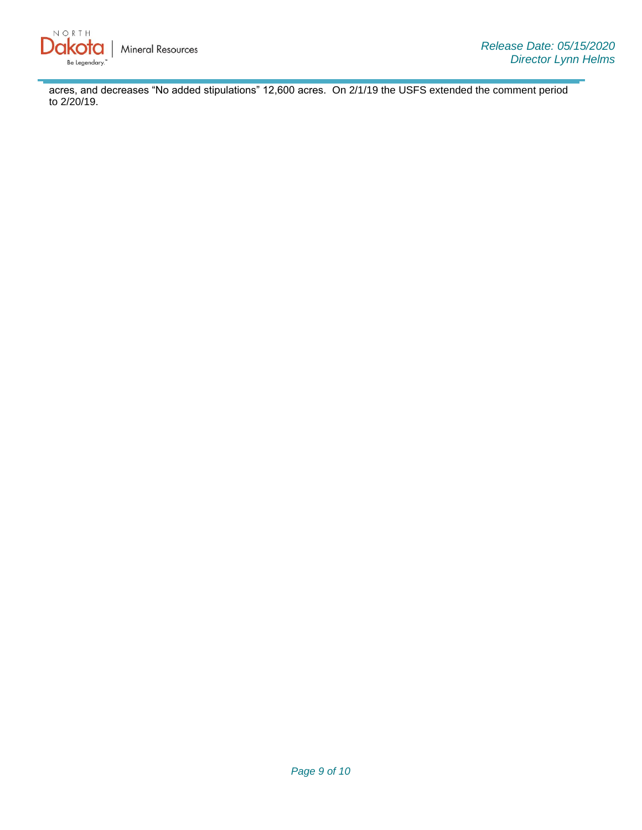

acres, and decreases "No added stipulations" 12,600 acres. On 2/1/19 the USFS extended the comment period to 2/20/19.